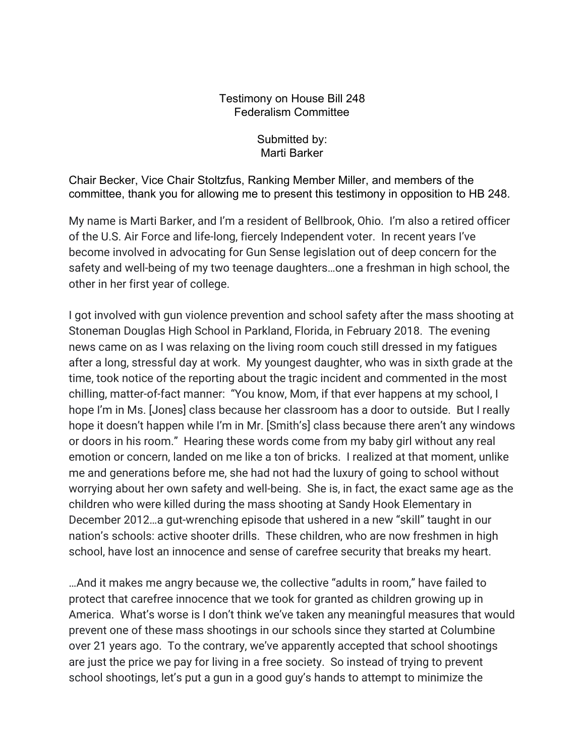## Testimony on House Bill 248 Federalism Committee

Submitted by: Marti Barker

Chair Becker, Vice Chair Stoltzfus, Ranking Member Miller, and members of the committee, thank you for allowing me to present this testimony in opposition to HB 248.

My name is Marti Barker, and I'm a resident of Bellbrook, Ohio. I'm also a retired officer of the U.S. Air Force and life-long, fiercely Independent voter. In recent years I've become involved in advocating for Gun Sense legislation out of deep concern for the safety and well-being of my two teenage daughters…one a freshman in high school, the other in her first year of college.

I got involved with gun violence prevention and school safety after the mass shooting at Stoneman Douglas High School in Parkland, Florida, in February 2018. The evening news came on as I was relaxing on the living room couch still dressed in my fatigues after a long, stressful day at work. My youngest daughter, who was in sixth grade at the time, took notice of the reporting about the tragic incident and commented in the most chilling, matter-of-fact manner: "You know, Mom, if that ever happens at my school, I hope I'm in Ms. [Jones] class because her classroom has a door to outside. But I really hope it doesn't happen while I'm in Mr. [Smith's] class because there aren't any windows or doors in his room." Hearing these words come from my baby girl without any real emotion or concern, landed on me like a ton of bricks. I realized at that moment, unlike me and generations before me, she had not had the luxury of going to school without worrying about her own safety and well-being. She is, in fact, the exact same age as the children who were killed during the mass shooting at Sandy Hook Elementary in December 2012…a gut-wrenching episode that ushered in a new "skill" taught in our nation's schools: active shooter drills. These children, who are now freshmen in high school, have lost an innocence and sense of carefree security that breaks my heart.

…And it makes me angry because we, the collective "adults in room," have failed to protect that carefree innocence that we took for granted as children growing up in America. What's worse is I don't think we've taken any meaningful measures that would prevent one of these mass shootings in our schools since they started at Columbine over 21 years ago. To the contrary, we've apparently accepted that school shootings are just the price we pay for living in a free society. So instead of trying to prevent school shootings, let's put a gun in a good guy's hands to attempt to minimize the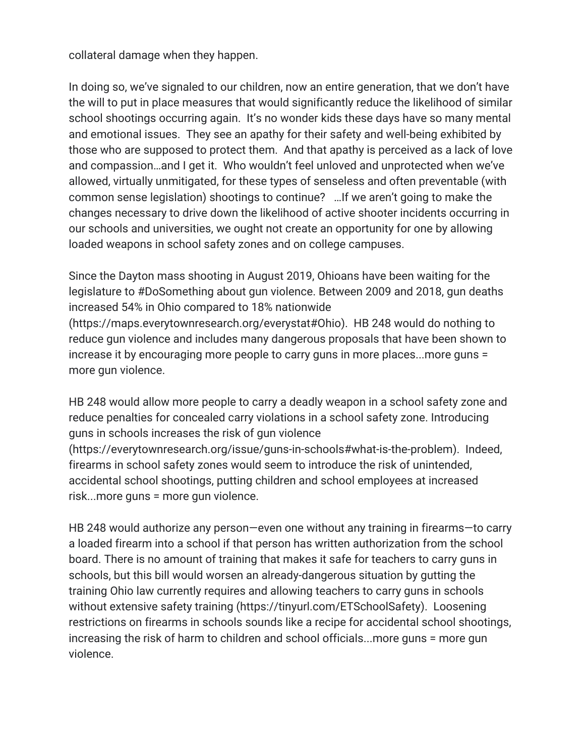collateral damage when they happen.

In doing so, we've signaled to our children, now an entire generation, that we don't have the will to put in place measures that would significantly reduce the likelihood of similar school shootings occurring again. It's no wonder kids these days have so many mental and emotional issues. They see an apathy for their safety and well-being exhibited by those who are supposed to protect them. And that apathy is perceived as a lack of love and compassion…and I get it. Who wouldn't feel unloved and unprotected when we've allowed, virtually unmitigated, for these types of senseless and often preventable (with common sense legislation) shootings to continue? …If we aren't going to make the changes necessary to drive down the likelihood of active shooter incidents occurring in our schools and universities, we ought not create an opportunity for one by allowing loaded weapons in school safety zones and on college campuses.

Since the Dayton mass shooting in August 2019, Ohioans have been waiting for the legislature to #DoSomething about gun violence. Between 2009 and 2018, gun deaths increased 54% in Ohio compared to 18% nationwide (https://maps.everytownresearch.org/everystat#Ohio). HB 248 would do nothing to

reduce gun violence and includes many dangerous proposals that have been shown to increase it by encouraging more people to carry guns in more places...more guns = more gun violence.

HB 248 would allow more people to carry a deadly weapon in a school safety zone and reduce penalties for concealed carry violations in a school safety zone. Introducing guns in schools increases the risk of gun violence

(https://everytownresearch.org/issue/guns-in-schools#what-is-the-problem). Indeed, firearms in school safety zones would seem to introduce the risk of unintended, accidental school shootings, putting children and school employees at increased risk...more guns = more gun violence.

HB 248 would authorize any person—even one without any training in firearms—to carry a loaded firearm into a school if that person has written authorization from the school board. There is no amount of training that makes it safe for teachers to carry guns in schools, but this bill would worsen an already-dangerous situation by gutting the training Ohio law currently requires and allowing teachers to carry guns in schools without extensive safety training (https://tinyurl.com/ETSchoolSafety). Loosening restrictions on firearms in schools sounds like a recipe for accidental school shootings, increasing the risk of harm to children and school officials...more guns = more gun violence.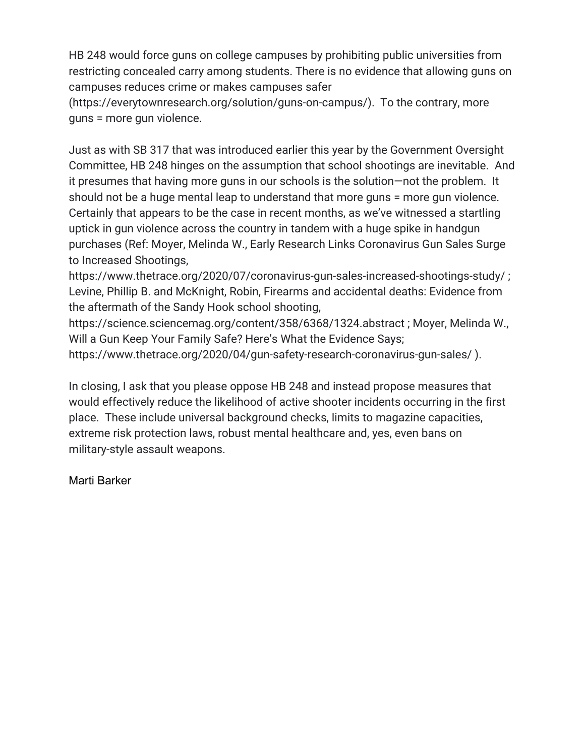HB 248 would force guns on college campuses by prohibiting public universities from restricting concealed carry among students. There is no evidence that allowing guns on campuses reduces crime or makes campuses safer

(https://everytownresearch.org/solution/guns-on-campus/). To the contrary, more guns = more gun violence.

Just as with SB 317 that was introduced earlier this year by the Government Oversight Committee, HB 248 hinges on the assumption that school shootings are inevitable. And it presumes that having more guns in our schools is the solution—not the problem. It should not be a huge mental leap to understand that more guns = more gun violence. Certainly that appears to be the case in recent months, as we've witnessed a startling uptick in gun violence across the country in tandem with a huge spike in handgun purchases (Ref: Moyer, Melinda W., Early Research Links Coronavirus Gun Sales Surge to Increased Shootings,

https://www.thetrace.org/2020/07/coronavirus-gun-sales-increased-shootings-study/ ; Levine, Phillip B. and McKnight, Robin, Firearms and accidental deaths: Evidence from the aftermath of the Sandy Hook school shooting,

https://science.sciencemag.org/content/358/6368/1324.abstract ; Moyer, Melinda W., Will a Gun Keep Your Family Safe? Here's What the Evidence Says; https://www.thetrace.org/2020/04/gun-safety-research-coronavirus-gun-sales/ ).

In closing, I ask that you please oppose HB 248 and instead propose measures that would effectively reduce the likelihood of active shooter incidents occurring in the first place. These include universal background checks, limits to magazine capacities, extreme risk protection laws, robust mental healthcare and, yes, even bans on military-style assault weapons.

## Marti Barker